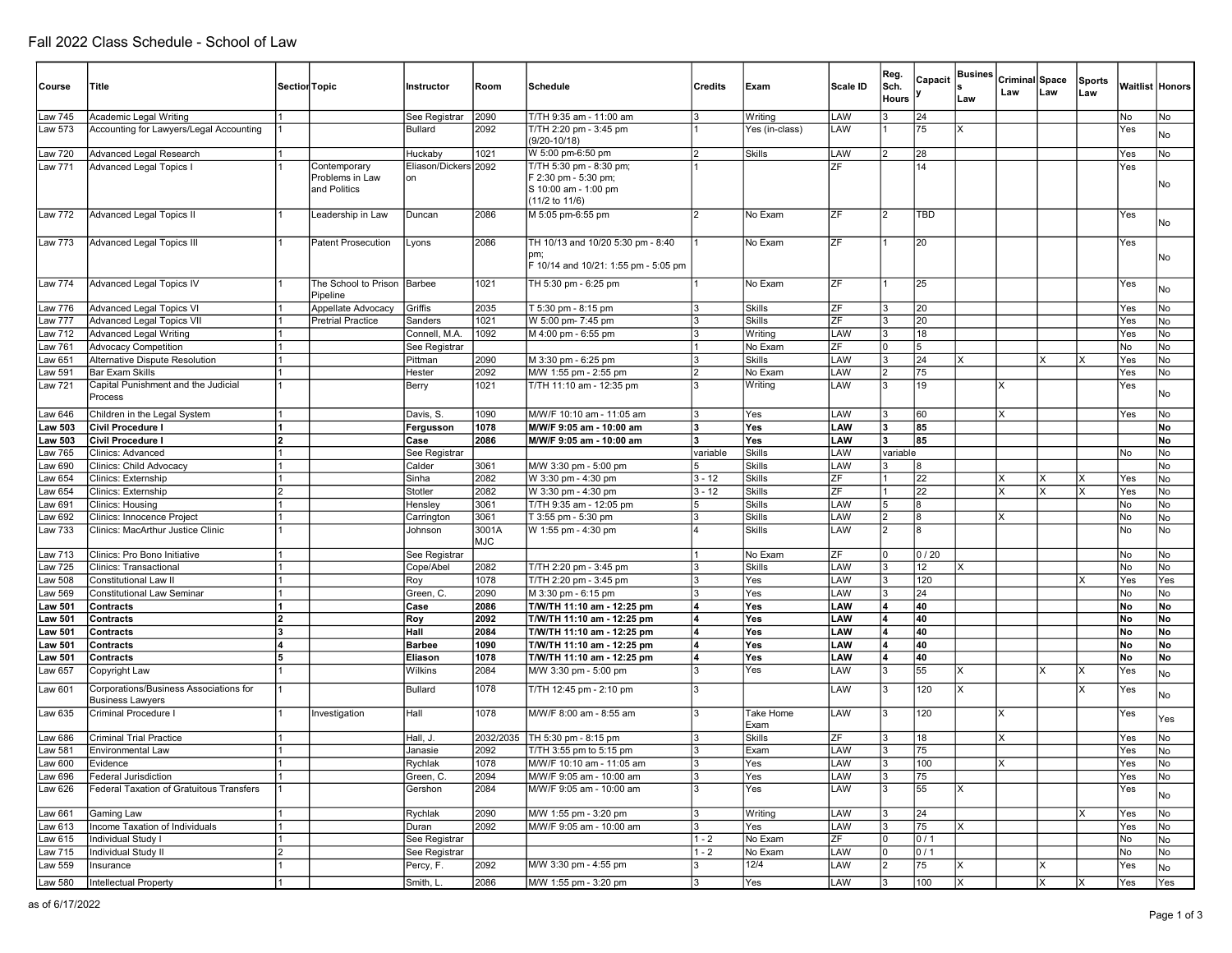| Course             | Title                                                             |    | Section Topic                                   | Instructor                     | Room                | Schedule                                                                                  | <b>Credits</b>       | Exam                    | Scale ID                        | Reg.<br>Sch. | Capacit         | <b>Busines</b> | Criminal Space |          | <b>Sports</b> |            | Waitlist Honors |
|--------------------|-------------------------------------------------------------------|----|-------------------------------------------------|--------------------------------|---------------------|-------------------------------------------------------------------------------------------|----------------------|-------------------------|---------------------------------|--------------|-----------------|----------------|----------------|----------|---------------|------------|-----------------|
|                    |                                                                   |    |                                                 |                                |                     |                                                                                           |                      |                         |                                 | <b>Hours</b> |                 | Law            | Law            | Law      | Law           |            |                 |
| Law 745            | Academic Legal Writing                                            |    |                                                 | See Registrar                  | 2090                | T/TH 9:35 am - 11:00 am                                                                   |                      | Writing                 | LAW                             |              | 24              |                |                |          |               | No         | No              |
| Law 573            | Accounting for Lawyers/Legal Accounting                           |    |                                                 | <b>Bullard</b>                 | 2092                | T/TH 2:20 pm - 3:45 pm<br>$(9/20 - 10/18)$                                                |                      | Yes (in-class)          | LAW                             |              | 75              | x              |                |          |               | Yes        | No              |
| Law 720            | <b>Advanced Legal Research</b>                                    |    |                                                 | Huckaby                        | 1021                | W 5:00 pm-6:50 pm                                                                         | 12                   | Skills                  | LAW                             |              | 28              |                |                |          |               | Yes        | No              |
| Law 771            | <b>Advanced Legal Topics I</b>                                    |    | Contemporary<br>Problems in Law<br>and Politics | Eliason/Dickers<br>lon         | 2092                | T/TH 5:30 pm - 8:30 pm;<br>F 2:30 pm - 5:30 pm;<br>S 10:00 am - 1:00 pm<br>(11/2 to 11/6) |                      |                         | 7F                              |              | 14              |                |                |          |               | Yes        | No              |
| Law 772            | <b>Advanced Legal Topics II</b>                                   |    | Leadership in Law                               | Duncan                         | 2086                | M 5:05 pm-6:55 pm                                                                         |                      | No Exam                 | ZF                              |              | TBD             |                |                |          |               | Yes        | No              |
| <b>Law 773</b>     | <b>Advanced Legal Topics III</b>                                  |    | <b>Patent Prosecution</b>                       | Lyons                          | 2086                | TH 10/13 and 10/20 5:30 pm - 8:40<br>F 10/14 and 10/21: 1:55 pm - 5:05 pm                 |                      | No Exam                 | ZF                              |              | 20              |                |                |          |               | Yes        | No              |
| Law 774            | <b>Advanced Legal Topics IV</b>                                   |    | The School to Prison<br>Pipeline                | Barbee                         | 1021                | TH 5:30 pm - 6:25 pm                                                                      |                      | No Exam                 | ZF                              |              | 25              |                |                |          |               | Yes        | No              |
| Law 776            | <b>Advanced Legal Topics VI</b>                                   |    | Appellate Advocacy                              | Griffis                        | 2035                | T 5:30 pm - 8:15 pm                                                                       |                      | <b>Skills</b>           | ΖF                              |              | 20              |                |                |          |               | Yes        | No              |
| Law 777            | <b>Advanced Legal Topics VII</b>                                  |    | <b>Pretrial Practice</b>                        | Sanders                        | 1021                | W 5:00 pm- 7:45 pm                                                                        | l3                   | <b>Skills</b>           | ZF                              | IЗ           | 20              |                |                |          |               | Yes        | No              |
| aw 712<br>aw 761   | <b>Advanced Legal Writing</b><br><b>Advocacy Competition</b>      |    |                                                 | Connell, M.A.<br>See Registrar | 1092                | M 4:00 pm - 6:55 pm                                                                       |                      | Writing<br>No Exam      | LAW<br>$\overline{\mathsf{ZF}}$ |              | 18<br>5         |                |                |          |               | Yes<br>No  | No<br>No        |
| aw 651             | Alternative Dispute Resolution                                    |    |                                                 | Pittman                        | 2090                | M 3:30 pm - 6:25 pm                                                                       |                      | Skills                  | LAW                             |              | 24              | x              |                | X        |               | Yes        | No              |
| aw 591             | <b>Bar Exam Skills</b>                                            |    |                                                 | Hester                         | 2092                | M/W 1:55 pm - 2:55 pm                                                                     | 12                   | No Exam                 | LAW                             |              | 75              |                |                |          |               | Yes        | No              |
| Law 721            | Capital Punishment and the Judicial<br>Process                    |    |                                                 | Berry                          | 1021                | T/TH 11:10 am - 12:35 pm                                                                  |                      | Writing                 | <b>AW</b>                       |              | 19              |                |                |          |               | Yes        | No              |
| Law 646            | Children in the Legal System                                      |    |                                                 | Davis, S.                      | 1090                | M/W/F 10:10 am - 11:05 am                                                                 | Ι3                   | Yes                     | LAW                             | IЗ           | 60              |                | lχ             |          |               | Yes        | No              |
| <b>Law 503</b>     | Civil Procedure I                                                 |    |                                                 | Fergusson                      | 1078                | M/W/F 9:05 am - 10:00 am                                                                  | l3                   | Yes                     | LAW                             | l3           | 85              |                |                |          |               |            | No              |
| Law 503            | <b>Civil Procedure I</b>                                          |    |                                                 | Case                           | 2086                | M/W/F 9:05 am - 10:00 am                                                                  |                      | Yes                     | LAW                             | l3           | 85              |                |                |          |               |            | No              |
| Law 765            | Clinics: Advanced                                                 |    |                                                 | See Registrar                  |                     |                                                                                           | variable             | <b>Skills</b>           | LAW                             | variable     |                 |                |                |          |               | No         | No              |
| aw 690             | Clinics: Child Advocacy                                           |    |                                                 | Calder                         | 3061<br>2082        | M/W 3:30 pm - 5:00 pm                                                                     | 15                   | <b>Skills</b>           | LAW<br>ZF                       |              | 8<br>22         |                |                |          |               |            | No              |
| aw 654<br>.aw 654  | Clinics: Externship<br>Clinics: Externship                        |    |                                                 | Sinha<br>Stotler               | 2082                | W 3:30 pm - 4:30 pm<br>W 3:30 pm - 4:30 pm                                                | $3 - 12$<br>$3 - 12$ | Skills<br><b>Skills</b> | $\overline{\mathsf{ZF}}$        |              | $\overline{22}$ |                | Χ              | X<br>X   |               | Yes<br>Yes | No<br>No        |
| Law 691            | Clinics: Housing                                                  |    |                                                 | Hensley                        | 3061                | T/TH 9:35 am - 12:05 pm                                                                   |                      | <b>Skills</b>           | LAW                             |              | 8               |                |                |          |               | No         | No              |
| aw 692             | Clinics: Innocence Project                                        |    |                                                 | Carrington                     | 3061                | T 3:55 pm - 5:30 pm                                                                       | l3                   | <b>Skills</b>           | LAW                             | 12           | 8               |                | Ιx             |          |               | No         | No              |
| aw 733             | Clinics: MacArthur Justice Clinic                                 |    |                                                 | Johnson                        | 3001A<br><b>MJC</b> | W 1:55 pm - 4:30 pm                                                                       |                      | Skills                  | LAW                             |              | 8               |                |                |          |               | No         | No              |
| Law 713            | Clinics: Pro Bono Initiative                                      |    |                                                 | See Registrar                  |                     |                                                                                           |                      | No Exam                 | ZF                              |              | 0/20            |                |                |          |               | No         | No              |
| aw 725             | Clinics: Transactional                                            |    |                                                 | Cope/Abel                      | 2082                | T/TH 2:20 pm - 3:45 pm                                                                    |                      | Skills                  | LAW                             |              | 12              | x              |                |          |               | No         | No              |
| aw 508             | <b>Constitutional Law II</b>                                      |    |                                                 | Roy                            | 1078                | T/TH 2:20 pm - 3:45 pm                                                                    |                      | Yes                     | LAW                             |              | 120             |                |                |          |               | Yes        | Yes             |
| aw 569<br>aw 501   | <b>Constitutional Law Seminar</b>                                 |    |                                                 | Green, C.<br>Case              | 2090<br>2086        | M 3:30 pm - 6:15 pm                                                                       | 14                   | Yes<br>Yes              | LAW<br>LAW                      | 14           | 24<br>40        |                |                |          |               | No<br>No   | No<br>No.       |
| aw 501             | Contracts<br>Contracts                                            |    |                                                 | Roy                            | 2092                | T/W/TH 11:10 am - 12:25 pm<br>T/W/TH 11:10 am - 12:25 pm                                  | 14                   | Yes                     | LAW                             | 14           | 40              |                |                |          |               | No         | No              |
| aw 501             | Contracts                                                         |    |                                                 | Hall                           | 2084                | T/W/TH 11:10 am - 12:25 pm                                                                |                      | Yes                     | LAW                             |              | 40              |                |                |          |               | No         | No              |
| Law 501            | Contracts                                                         |    |                                                 | <b>Barbee</b>                  | 1090                | T/W/TH 11:10 am - 12:25 pm                                                                | 14                   | Yes                     | LAW                             |              | 40              |                |                |          |               | <b>No</b>  | No              |
| <b>Law 501</b>     | Contracts                                                         | 15 |                                                 | Eliason                        | 1078                | T/W/TH 11:10 am - 12:25 pm                                                                | 14                   | Yes                     | LAW                             | l4           | 40              |                |                |          |               | No         | No              |
| aw 657             | Copyright Law                                                     |    |                                                 | Wilkins                        | 2084                | M/W 3:30 pm - 5:00 pm<br>T/TH 12:45 pm - 2:10 pm                                          | Ι3<br>l3             | Yes                     | LAW                             |              | 55              | ΙX             |                | $\times$ | ΙX            | Yes        | No              |
| aw 601 <b>.</b>    | Corporations/Business Associations for<br><b>Business Lawyers</b> |    |                                                 | Bullard                        | 1078<br>1078        | M/W/F 8:00 am - 8:55 am                                                                   | l3                   | Take Home               | LAW                             |              | 120             |                | x              |          |               | Yes        | No              |
| Law 635            | Criminal Procedure I                                              |    | Investigation                                   | Hall                           |                     |                                                                                           |                      | Exam                    | LAW                             |              | 120             |                |                |          |               | Yes        | Yes             |
| Law 686<br>Law 581 | <b>Criminal Trial Practice</b><br><b>Environmental Law</b>        |    |                                                 | Hall, J<br>Janasie             | 2032/2035<br>2092   | TH 5:30 pm - 8:15 pm<br>T/TH 3:55 pm to 5:15 pm                                           |                      | <b>Skills</b><br>Exam   | ZF<br>LAW                       |              | 18<br>75        |                |                |          |               | Yes<br>Yes | <b>No</b><br>No |
|                    |                                                                   |    |                                                 |                                |                     |                                                                                           |                      |                         |                                 |              |                 |                |                |          |               |            |                 |
| Law 600<br>Law 696 | <b>Lvidence</b><br>Federal Jurisdiction                           |    |                                                 | Rychlak<br>Green, C.           | 1078<br>2094        | M/W/F 10:10 am - 11:05 am<br>M/W/F 9:05 am - 10:00 am                                     | 3                    | Yes<br>Yes              | LAW<br>LAW                      | 13           | 100<br>75       |                | IX.            |          |               | Yes<br>Yes | No<br>No        |
| Law 626            | Federal Taxation of Gratuitous Transfers                          |    |                                                 | Gershon                        | 2084                | M/W/F 9:05 am - 10:00 am                                                                  |                      | Yes                     | LAW                             |              | 55              |                |                |          |               | Yes        | No              |
| Law 661            | Gaming Law                                                        |    |                                                 | Rychlak                        | 2090                | M/W 1:55 pm - 3:20 pm                                                                     |                      | Writing                 | LAW                             |              | 24              |                |                |          | ΙX            | Yes        | No.             |
| Law 613            | Income Taxation of Individuals                                    |    |                                                 | Duran                          | 2092                | M/W/F 9:05 am - 10:00 am                                                                  |                      | Yes                     | LAW                             |              | 75              | X              |                |          |               | Yes        | No              |
| Law 615            | Individual Study I                                                |    |                                                 | See Registrar                  |                     |                                                                                           | $1 - 2$              | No Exam                 | ZF                              | 10           | 0/1             |                |                |          |               | No         | No              |
| aw 715             | Individual Study II                                               |    |                                                 | See Registrar                  |                     |                                                                                           | $1 - 2$              | No Exam                 | LAW                             |              | 0/1             |                |                |          |               | No         | No.             |
| Law 559            | Insurance                                                         |    |                                                 | Percy, F.                      | 2092                | M/W 3:30 pm - 4:55 pm                                                                     | l3                   | 12/4                    | LAW                             |              | 75              | ΙX             |                | X        |               | Yes        | No              |
| Law 580            | Intellectual Property                                             |    |                                                 | Smith, L.                      | 2086                | M/W 1:55 pm - 3:20 pm                                                                     | lз                   | Yes                     | LAW                             |              | 100             | X              |                | X        | ΙX            | Yes        | Yes             |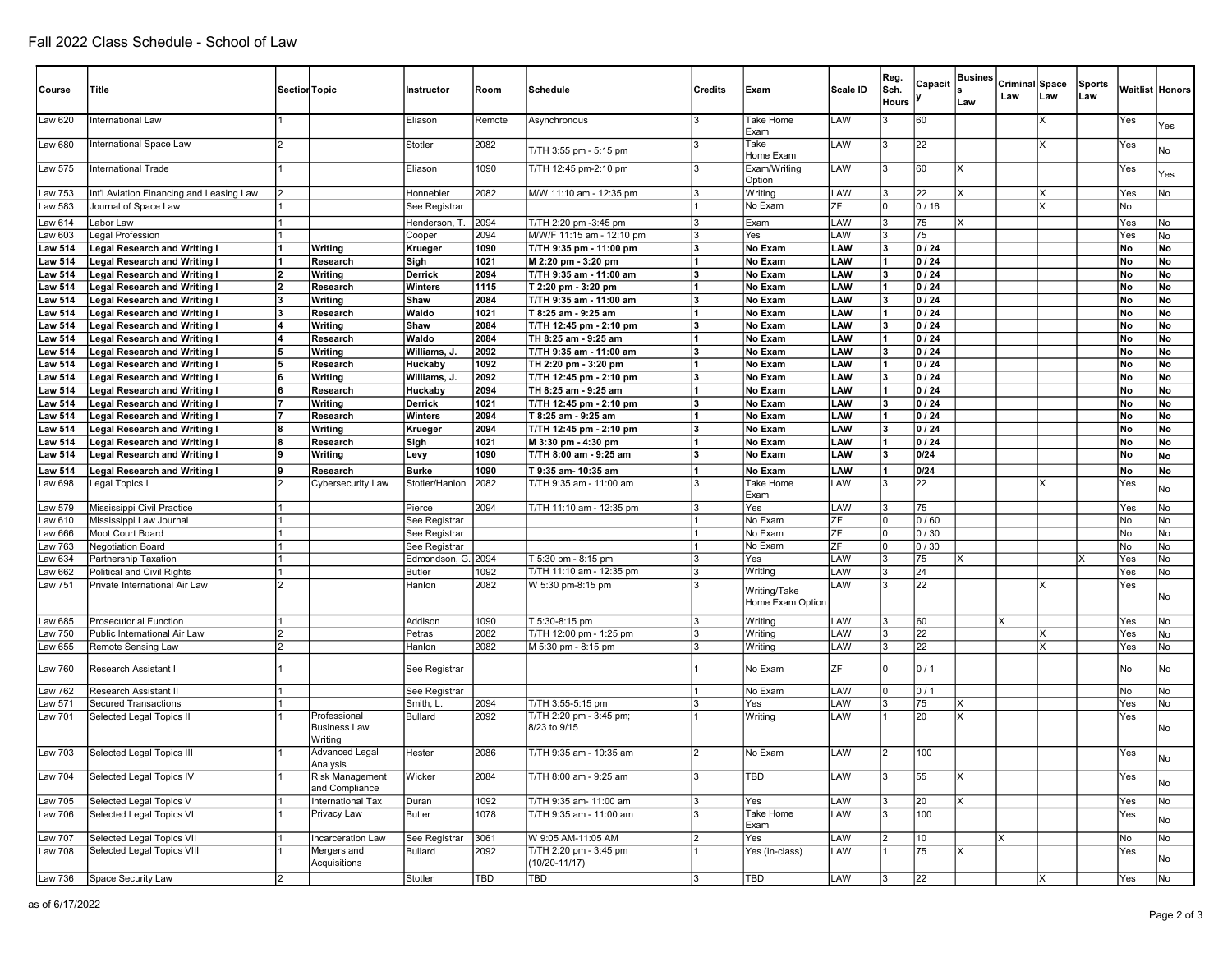| Course                           | Title                                                                      | Section Topic |                                                | Instructor                     | Room         | Schedule                                       | <b>Credits</b> | Exam                             | Scale ID   | Reg.<br>Sch.<br><b>Hours</b> | Capacit         | <b>Busines</b><br>Law | Criminal Space<br>Law | L aw | Sports<br> Law |           | Waitlist Honors |
|----------------------------------|----------------------------------------------------------------------------|---------------|------------------------------------------------|--------------------------------|--------------|------------------------------------------------|----------------|----------------------------------|------------|------------------------------|-----------------|-----------------------|-----------------------|------|----------------|-----------|-----------------|
| Law 620                          | International Law                                                          |               |                                                | Eliason                        | Remote       | Asynchronous                                   |                | Take Home<br>Exam                | LAW        |                              | 60              |                       |                       |      |                | Yes       | Yes             |
| Law 680                          | International Space Law                                                    |               |                                                | Stotler                        | 2082         | T/TH 3:55 pm - 5:15 pm                         |                | Take<br>Home Exam                | LAW        |                              | 22              |                       |                       | X    |                | Yes       | No              |
| Law 575                          | <b>International Trade</b>                                                 |               |                                                | Eliason                        | 1090         | T/TH 12:45 pm-2:10 pm                          |                | Exam/Writing<br>Option           | LAW        |                              | 60              | x                     |                       |      |                | Yes       | Yes             |
| Law 753                          | Int'l Aviation Financing and Leasing Law                                   |               |                                                | Honnebier                      | 2082         | M/W 11:10 am - 12:35 pm                        |                | Writing                          | LAW        |                              | 22              |                       |                       |      |                | Yes       | No              |
| aw 583                           | Journal of Space Law                                                       |               |                                                | See Registrar                  |              |                                                |                | No Exam                          | ZF         |                              | 0/16            |                       |                       | X    |                | No        |                 |
| Law 614                          | Labor Law                                                                  |               |                                                | Henderson, T.                  | 2094         | T/TH 2:20 pm -3:45 pm                          | l3             | Exam                             | LAW        |                              | 75              | X                     |                       |      |                | Yes       | No              |
| aw 603                           | Legal Profession                                                           |               |                                                | Cooper                         | 2094         | M/W/F 11:15 am - 12:10 pm                      | l3             | Yes                              | LAW        |                              | 75              |                       |                       |      |                | Yes       | No              |
| <b>Law 514</b>                   | <b>Legal Research and Writing I</b>                                        |               | Writing                                        | Krueger                        | 1090         | T/TH 9:35 pm - 11:00 pm                        | l3             | No Exam                          | LAW        |                              | 0/24            |                       |                       |      |                | <b>No</b> | No              |
| <b>Law 514</b>                   | <b>Legal Research and Writing I</b>                                        |               | Research                                       | Sigh                           | 1021         | M 2:20 pm - 3:20 pm                            | 11             | No Exam                          | LAW        |                              | 0 / 24          |                       |                       |      |                | No        | No              |
| <b>Law 514</b>                   | <b>Legal Research and Writing I</b>                                        | 12            | Writing                                        | Derrick                        | 2094         | T/TH 9:35 am - 11:00 am                        | lз             | No Exam                          | LAW        | 13                           | 0/24            |                       |                       |      |                | <b>No</b> | No              |
| <b>Law 514</b>                   | <b>Legal Research and Writing I</b>                                        | 12            | Research                                       | Winters                        | 1115         | T 2:20 pm - 3:20 pm                            |                | No Exam                          | LAW        |                              | 0/24            |                       |                       |      |                | No        | No              |
| <b>Law 514</b>                   | <b>Legal Research and Writing I</b>                                        |               | Writing                                        | Shaw                           | 2084         | T/TH 9:35 am - 11:00 am                        | 13             | No Exam                          | LAW        |                              | 0/24            |                       |                       |      |                | No        | No              |
| <b>Law 514</b>                   | <b>Legal Research and Writing I</b>                                        | lз            | Research                                       | Waldo                          | 1021         | T 8:25 am - 9:25 am                            | l1             | No Exam                          | LAW        |                              | 0/24            |                       |                       |      |                | No        | No              |
| <b>Law 514</b>                   | <b>Legal Research and Writing I</b>                                        | 14            | Writing                                        | Shaw                           | 2084         | T/TH 12:45 pm - 2:10 pm                        | 13             | No Exam                          | LAW        | 13                           | 0/24            |                       |                       |      |                | No        | No              |
| <b>Law 514</b>                   | <b>Legal Research and Writing I</b>                                        |               | Research                                       | Waldo                          | 2084         | TH 8:25 am - 9:25 am                           | 11             | No Exam                          | LAW        |                              | 0/24            |                       |                       |      |                | No        | No              |
| <b>Law 514</b>                   | <b>Legal Research and Writing I</b>                                        | 15            | Writing                                        | Williams, J.                   | 2092         | T/TH 9:35 am - 11:00 am                        | lз             | No Exam                          | LAW        |                              | 0/24            |                       |                       |      |                | No        | No              |
| <b>Law 514</b>                   | <b>Legal Research and Writing I</b>                                        | l5            | Research                                       | Huckaby                        | 1092         | TH 2:20 pm - 3:20 pm                           | 11             | No Exam                          | LAW        |                              | 0/24            |                       |                       |      |                | No        | No              |
| <b>Law 514</b>                   | <b>Legal Research and Writing I</b>                                        | 6             | Writing                                        | Williams, J.                   | 2092         | T/TH 12:45 pm - 2:10 pm                        | 3              | No Exam                          | LAW        | 13                           | 0/24            |                       |                       |      |                | No        | No              |
| <b>Law 514</b>                   | <b>Legal Research and Writing I</b>                                        | 16            | Research                                       | Huckaby<br><b>Derrick</b>      | 2094<br>1021 | TH 8:25 am - 9:25 am                           | 13             | No Exam<br>No Exam               | LAW<br>LAW |                              | 0/24<br>0/24    |                       |                       |      |                | No        | No<br>No        |
| <b>Law 514</b><br><b>Law 514</b> | <b>Legal Research and Writing I</b><br><b>Legal Research and Writing I</b> |               | Writing<br>Research                            | Winters                        | 2094         | T/TH 12:45 pm - 2:10 pm<br>T 8:25 am - 9:25 am |                | No Exam                          | LAW        |                              | 0/24            |                       |                       |      |                | No<br>No  | No              |
| <b>Law 514</b>                   | <b>Legal Research and Writing I</b>                                        | ١8            | Writing                                        | Krueger                        | 2094         | T/TH 12:45 pm - 2:10 pm                        | 13             | No Exam                          | LAW        | 13                           | 0/24            |                       |                       |      |                | No        | No              |
| <b>Law 514</b>                   | <b>Legal Research and Writing I</b>                                        |               | Research                                       | Sigh                           | 1021         | M 3:30 pm - 4:30 pm                            | 11             | No Exam                          | LAW        |                              | 0/24            |                       |                       |      |                | No        | No              |
| <b>Law 514</b>                   | <b>Legal Research and Writing I</b>                                        | Ι۹            | Writing                                        | Levy                           | 1090         | T/TH 8:00 am - 9:25 am                         | 13             | No Exam                          | LAW        | 13                           | 0/24            |                       |                       |      |                | No        | No              |
|                                  | <b>Legal Research and Writing I</b>                                        | 19            |                                                | <b>Burke</b>                   | 1090         | T 9:35 am- 10:35 am                            | 11             | No Exam                          | LAW        |                              | 0/24            |                       |                       |      |                | No        | No              |
| <b>Law 514</b><br>Law 698        | Legal Topics I                                                             |               | Research<br>Cybersecurity Law                  | Stotler/Hanlon                 | 2082         | T/TH 9:35 am - 11:00 am                        |                | Take Home                        | LAW        |                              | 22              |                       |                       |      |                | Yes       | No              |
|                                  |                                                                            |               |                                                |                                |              |                                                |                | Exam                             |            |                              |                 |                       |                       |      |                |           |                 |
| Law 579                          | Mississippi Civil Practice                                                 |               |                                                | Pierce                         | 2094         | T/TH 11:10 am - 12:35 pm                       | IЗ             | Yes                              | LAW        |                              | 75              |                       |                       |      |                | Yes       | No              |
| aw 610.                          | Mississippi Law Journal                                                    |               |                                                | See Registrar                  |              |                                                |                | No Exam                          | ZF         |                              | 0/60            |                       |                       |      |                | No        | No              |
| aw 666.                          | Moot Court Board                                                           |               |                                                | See Registrar                  |              |                                                |                | No Exam<br>No Exam               | ZF<br>ZF   |                              | 0/30            |                       |                       |      |                | No        | No              |
| aw 763<br>aw 634                 | <b>Negotiation Board</b>                                                   |               |                                                | See Registrar<br>Edmondson, G. |              | T 5:30 pm - 8:15 pm                            | IЗ             | Yes                              | LAW        |                              | 0/30<br>75      | x                     |                       |      |                | No<br>Yes | No<br>No        |
| aw 662                           | Partnership Taxation<br>Political and Civil Rights                         |               |                                                | <b>Butler</b>                  | 2094<br>1092 | T/TH 11:10 am - 12:35 pm                       | l3             | Writing                          | LAW        |                              | 24              |                       |                       |      |                | Yes       | No              |
| Law 751                          | Private International Air Law                                              |               |                                                | Hanlon                         | 2082         | W 5:30 pm-8:15 pm                              |                |                                  | LAW        | ß.                           | 22              |                       |                       | 'X   |                | Yes       |                 |
|                                  |                                                                            |               |                                                |                                |              |                                                |                | Writing/Take<br>Home Exam Option |            |                              |                 |                       |                       |      |                |           | No              |
| Law 685                          | <b>Prosecutorial Function</b>                                              |               |                                                | Addison                        | 1090         | T 5:30-8:15 pm                                 | l3             | Writing                          | LAW        |                              | 60              |                       | Ιx                    |      |                | Yes       | No              |
| aw 750                           | Public International Air Law                                               | l2            |                                                | Petras                         | 2082         | T/TH 12:00 pm - 1:25 pm                        | l3             | Writing                          | LAW        |                              | 22              |                       |                       | x    |                | Yes       | No              |
| aw 655                           | Remote Sensing Law                                                         | l2            |                                                | Hanlon                         | 2082         | M 5:30 pm - 8:15 pm                            | l3             | Writing                          | LAW        |                              | 22              |                       |                       | x    |                | Yes       | No              |
| Law 760                          | Research Assistant                                                         |               |                                                | See Registrar                  |              |                                                |                | No Exam                          | ZF         |                              | 0/1             |                       |                       |      |                | No        | No              |
| <b>Law 762</b>                   | Research Assistant II                                                      |               |                                                | See Registrar                  |              |                                                |                | No Exam                          | LAW        |                              | 0/1             |                       |                       |      |                | No        | No              |
| Law 571                          | <b>Secured Transactions</b>                                                |               |                                                | Smith, L                       | 2094         | T/TH 3:55-5:15 pm                              | IЗ             | Yes                              | LAW        |                              | 75              | x                     |                       |      |                | Yes       | No              |
| Law 701                          | Selected Legal Topics II                                                   |               | Professional<br><b>Business Law</b><br>Writing | Bullard                        | 2092         | T/TH 2:20 pm - 3:45 pm;<br>8/23 to 9/15        |                | Writing                          | LAW        |                              | 20              |                       |                       |      |                | Yes       | No              |
| <b>Law 703</b>                   | Selected Legal Topics III                                                  |               | <b>Advanced Legal</b><br>Analysis              | Hester                         | 2086         | T/TH 9:35 am - 10:35 am                        |                | No Exam                          | LAW        |                              | 100             |                       |                       |      |                | Yes       | No              |
| <b>Law 704</b>                   | Selected Legal Topics IV                                                   |               | Risk Management<br>and Compliance              | Wicker                         | 2084         | T/TH 8:00 am - 9:25 am                         | 3              | <b>TBD</b>                       | LAW        |                              | 55              | x                     |                       |      |                | Yes       | No              |
| <b>Law 705</b>                   | Selected Legal Topics V                                                    |               | International Tax                              | Duran                          | 1092         | T/TH 9:35 am- 11:00 am                         | l3             | Yes                              | LAW        |                              | 20              | X                     |                       |      |                | Yes       | No              |
| Law 706                          | Selected Legal Topics VI                                                   |               | Privacy Law                                    | <b>Butler</b>                  | 1078         | T/TH 9:35 am - 11:00 am                        | Ι3             | Take Home<br>Exam                | LAW        |                              | 100             |                       |                       |      |                | Yes       | No              |
| Law 707                          | Selected Legal Topics VII                                                  |               | Incarceration Law                              | See Registrar                  | 3061         | W 9:05 AM-11:05 AM                             | l2             | Yes                              | LAW        |                              | 10 <sub>1</sub> |                       | ΙX                    |      |                | No        | No              |
| Law 708                          | Selected Legal Topics VIII                                                 |               | Mergers and<br>Acquisitions                    | Bullard                        | 2092         | T/TH 2:20 pm - 3:45 pm<br>(10/20-11/17)        |                | Yes (in-class)                   | LAW        |                              | 75              | X                     |                       |      |                | Yes       | No              |
|                                  | Law 736 Space Security Law                                                 | 2             |                                                | Stotler                        | TBD          | TBD                                            | 3              | TBD                              | LAW        |                              | 22              |                       |                       | IX.  |                | Yes       | No              |